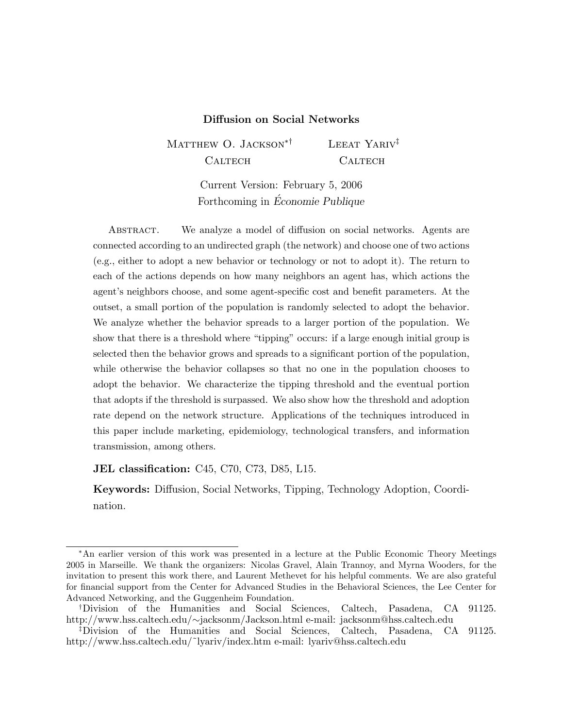# Diffusion on Social Networks

MATTHEW O. JACKSON<sup>\*†</sup> CALTECH LEEAT YARIV<sup> $\ddagger$ </sup> CALTECH

> Current Version: February 5, 2006 Forthcoming in Economie Publique

ABSTRACT. We analyze a model of diffusion on social networks. Agents are connected according to an undirected graph (the network) and choose one of two actions (e.g., either to adopt a new behavior or technology or not to adopt it). The return to each of the actions depends on how many neighbors an agent has, which actions the agent's neighbors choose, and some agent-specific cost and benefit parameters. At the outset, a small portion of the population is randomly selected to adopt the behavior. We analyze whether the behavior spreads to a larger portion of the population. We show that there is a threshold where "tipping" occurs: if a large enough initial group is selected then the behavior grows and spreads to a signicant portion of the population, while otherwise the behavior collapses so that no one in the population chooses to adopt the behavior. We characterize the tipping threshold and the eventual portion that adopts if the threshold is surpassed. We also show how the threshold and adoption rate depend on the network structure. Applications of the techniques introduced in this paper include marketing, epidemiology, technological transfers, and information transmission, among others.

**JEL classification:** C45, C70, C73, D85, L15.

Keywords: Diffusion, Social Networks, Tipping, Technology Adoption, Coordination.

An earlier version of this work was presented in a lecture at the Public Economic Theory Meetings 2005 in Marseille. We thank the organizers: Nicolas Gravel, Alain Trannoy, and Myrna Wooders, for the invitation to present this work there, and Laurent Methevet for his helpful comments. We are also grateful for financial support from the Center for Advanced Studies in the Behavioral Sciences, the Lee Center for Advanced Networking, and the Guggenheim Foundation.

<sup>y</sup>Division of the Humanities and Social Sciences, Caltech, Pasadena, CA 91125. http://www.hss.caltech.edu/ $\sim$ jacksonm/Jackson.html e-mail: jacksonm@hss.caltech.edu<br><sup>‡</sup>Division of the Humanities and Social Sciences, Caltech, Pasadena, CA

<sup>z</sup>Division of the Humanities and Social Sciences, Caltech, Pasadena, CA 91125. http://www.hss.caltech.edu/~lyariv/index.htm e-mail: lyariv@hss.caltech.edu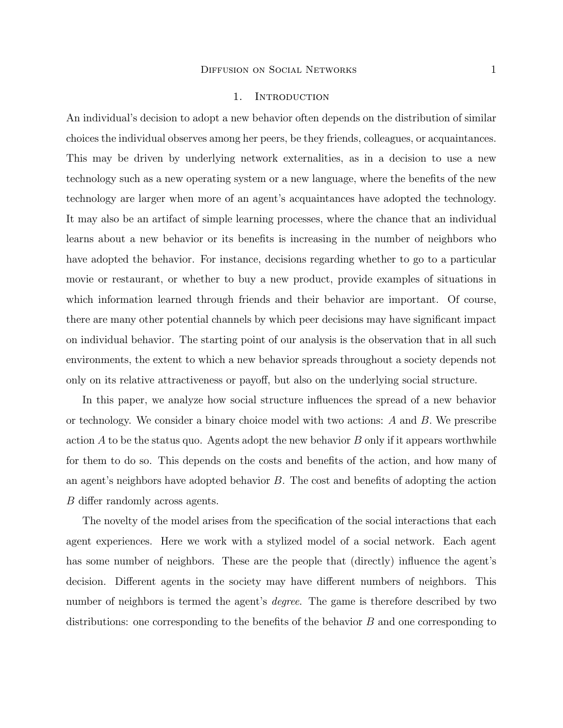#### 1. INTRODUCTION

An individual's decision to adopt a new behavior often depends on the distribution of similar choices the individual observes among her peers, be they friends, colleagues, or acquaintances. This may be driven by underlying network externalities, as in a decision to use a new technology such as a new operating system or a new language, where the benefits of the new technology are larger when more of an agent's acquaintances have adopted the technology. It may also be an artifact of simple learning processes, where the chance that an individual learns about a new behavior or its benefits is increasing in the number of neighbors who have adopted the behavior. For instance, decisions regarding whether to go to a particular movie or restaurant, or whether to buy a new product, provide examples of situations in which information learned through friends and their behavior are important. Of course, there are many other potential channels by which peer decisions may have signicant impact on individual behavior. The starting point of our analysis is the observation that in all such environments, the extent to which a new behavior spreads throughout a society depends not only on its relative attractiveness or payoff, but also on the underlying social structure.

In this paper, we analyze how social structure influences the spread of a new behavior or technology. We consider a binary choice model with two actions:  $A$  and  $B$ . We prescribe action  $A$  to be the status quo. Agents adopt the new behavior  $B$  only if it appears worthwhile for them to do so. This depends on the costs and benefits of the action, and how many of an agent's neighbors have adopted behavior  $B$ . The cost and benefits of adopting the action B differ randomly across agents.

The novelty of the model arises from the specication of the social interactions that each agent experiences. Here we work with a stylized model of a social network. Each agent has some number of neighbors. These are the people that (directly) influence the agent's decision. Different agents in the society may have different numbers of neighbors. This number of neighbors is termed the agent's *degree*. The game is therefore described by two distributions: one corresponding to the benefits of the behavior  $B$  and one corresponding to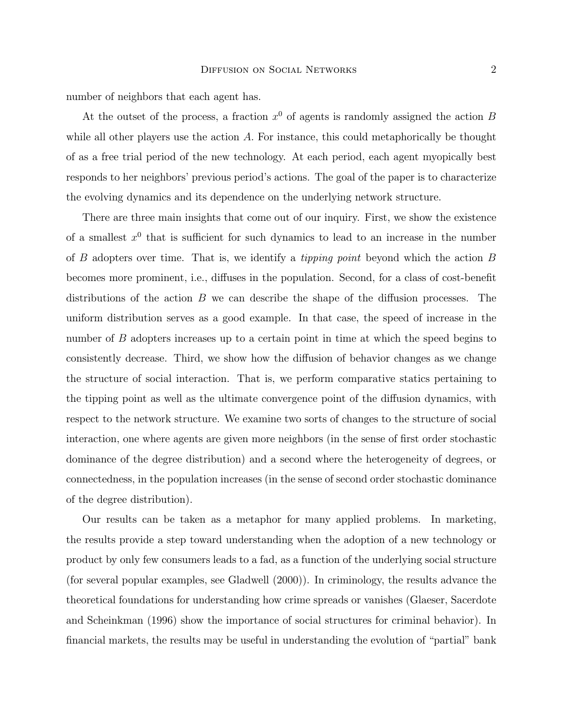number of neighbors that each agent has.

At the outset of the process, a fraction  $x^0$  of agents is randomly assigned the action B while all other players use the action A. For instance, this could metaphorically be thought of as a free trial period of the new technology. At each period, each agent myopically best responds to her neighbors' previous period's actions. The goal of the paper is to characterize the evolving dynamics and its dependence on the underlying network structure.

There are three main insights that come out of our inquiry. First, we show the existence of a smallest  $x^0$  that is sufficient for such dynamics to lead to an increase in the number of  $B$  adopters over time. That is, we identify a *tipping point* beyond which the action  $B$ becomes more prominent, i.e., diffuses in the population. Second, for a class of cost-benefit distributions of the action  $B$  we can describe the shape of the diffusion processes. The uniform distribution serves as a good example. In that case, the speed of increase in the number of B adopters increases up to a certain point in time at which the speed begins to consistently decrease. Third, we show how the diffusion of behavior changes as we change the structure of social interaction. That is, we perform comparative statics pertaining to the tipping point as well as the ultimate convergence point of the diffusion dynamics, with respect to the network structure. We examine two sorts of changes to the structure of social interaction, one where agents are given more neighbors (in the sense of first order stochastic dominance of the degree distribution) and a second where the heterogeneity of degrees, or connectedness, in the population increases (in the sense of second order stochastic dominance of the degree distribution).

Our results can be taken as a metaphor for many applied problems. In marketing, the results provide a step toward understanding when the adoption of a new technology or product by only few consumers leads to a fad, as a function of the underlying social structure (for several popular examples, see Gladwell (2000)). In criminology, the results advance the theoretical foundations for understanding how crime spreads or vanishes (Glaeser, Sacerdote and Scheinkman (1996) show the importance of social structures for criminal behavior). In financial markets, the results may be useful in understanding the evolution of "partial" bank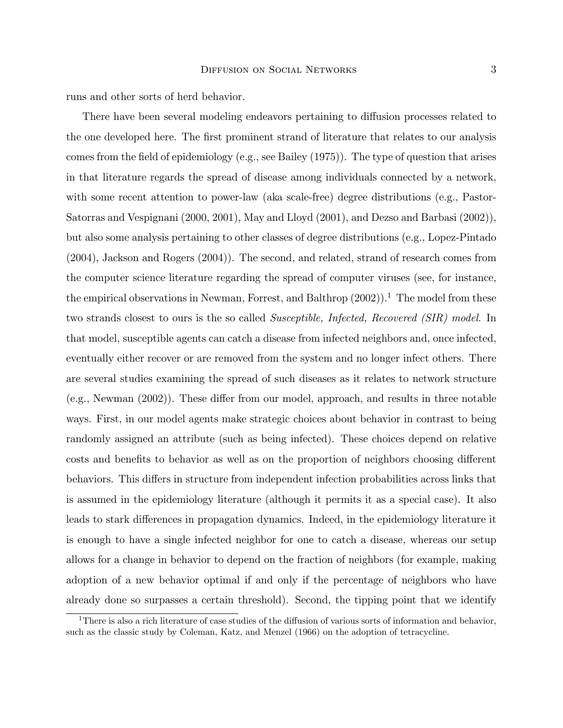runs and other sorts of herd behavior.

There have been several modeling endeavors pertaining to diffusion processes related to the one developed here. The first prominent strand of literature that relates to our analysis comes from the field of epidemiology (e.g., see Bailey  $(1975)$ ). The type of question that arises in that literature regards the spread of disease among individuals connected by a network, with some recent attention to power-law (aka scale-free) degree distributions (e.g., Pastor-Satorras and Vespignani (2000, 2001), May and Lloyd (2001), and Dezso and Barbasi (2002)), but also some analysis pertaining to other classes of degree distributions (e.g., Lopez-Pintado (2004), Jackson and Rogers (2004)). The second, and related, strand of research comes from the computer science literature regarding the spread of computer viruses (see, for instance, the empirical observations in Newman, Forrest, and Balthrop  $(2002)$ ).<sup>1</sup> The model from these two strands closest to ours is the so called Susceptible, Infected, Recovered (SIR) model. In that model, susceptible agents can catch a disease from infected neighbors and, once infected, eventually either recover or are removed from the system and no longer infect others. There are several studies examining the spread of such diseases as it relates to network structure  $(e.g., Newman (2002))$ . These differ from our model, approach, and results in three notable ways. First, in our model agents make strategic choices about behavior in contrast to being randomly assigned an attribute (such as being infected). These choices depend on relative costs and benefits to behavior as well as on the proportion of neighbors choosing different behaviors. This differs in structure from independent infection probabilities across links that is assumed in the epidemiology literature (although it permits it as a special case). It also leads to stark differences in propagation dynamics. Indeed, in the epidemiology literature it is enough to have a single infected neighbor for one to catch a disease, whereas our setup allows for a change in behavior to depend on the fraction of neighbors (for example, making adoption of a new behavior optimal if and only if the percentage of neighbors who have already done so surpasses a certain threshold). Second, the tipping point that we identify

<sup>&</sup>lt;sup>1</sup>There is also a rich literature of case studies of the diffusion of various sorts of information and behavior, such as the classic study by Coleman, Katz, and Menzel (1966) on the adoption of tetracycline.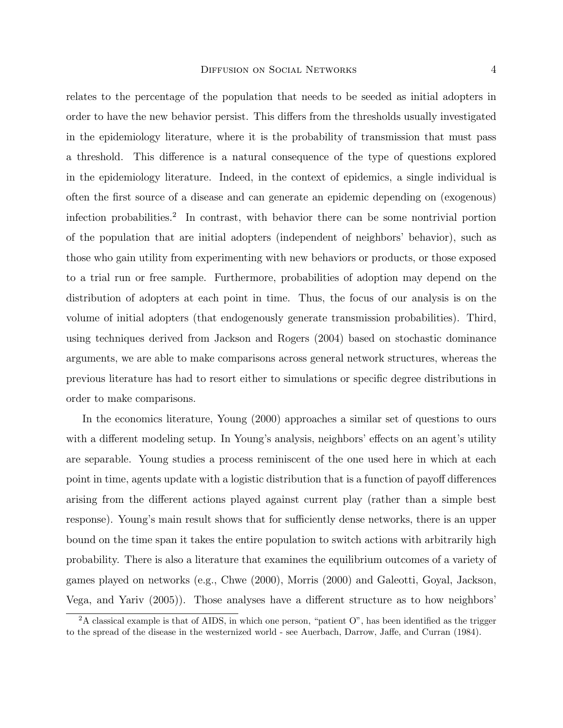relates to the percentage of the population that needs to be seeded as initial adopters in order to have the new behavior persist. This differs from the thresholds usually investigated in the epidemiology literature, where it is the probability of transmission that must pass a threshold. This difference is a natural consequence of the type of questions explored in the epidemiology literature. Indeed, in the context of epidemics, a single individual is often the first source of a disease and can generate an epidemic depending on (exogenous) infection probabilities.<sup>2</sup> In contrast, with behavior there can be some nontrivial portion of the population that are initial adopters (independent of neighbors' behavior), such as those who gain utility from experimenting with new behaviors or products, or those exposed to a trial run or free sample. Furthermore, probabilities of adoption may depend on the distribution of adopters at each point in time. Thus, the focus of our analysis is on the volume of initial adopters (that endogenously generate transmission probabilities). Third, using techniques derived from Jackson and Rogers (2004) based on stochastic dominance arguments, we are able to make comparisons across general network structures, whereas the previous literature has had to resort either to simulations or specic degree distributions in order to make comparisons.

In the economics literature, Young (2000) approaches a similar set of questions to ours with a different modeling setup. In Young's analysis, neighbors' effects on an agent's utility are separable. Young studies a process reminiscent of the one used here in which at each point in time, agents update with a logistic distribution that is a function of payoff differences arising from the different actions played against current play (rather than a simple best response). Young's main result shows that for sufficiently dense networks, there is an upper bound on the time span it takes the entire population to switch actions with arbitrarily high probability. There is also a literature that examines the equilibrium outcomes of a variety of games played on networks (e.g., Chwe (2000), Morris (2000) and Galeotti, Goyal, Jackson, Vega, and Yariv (2005)). Those analyses have a different structure as to how neighbors'

 $2A$  classical example is that of AIDS, in which one person, "patient O", has been identified as the trigger to the spread of the disease in the westernized world - see Auerbach, Darrow, Jaffe, and Curran (1984).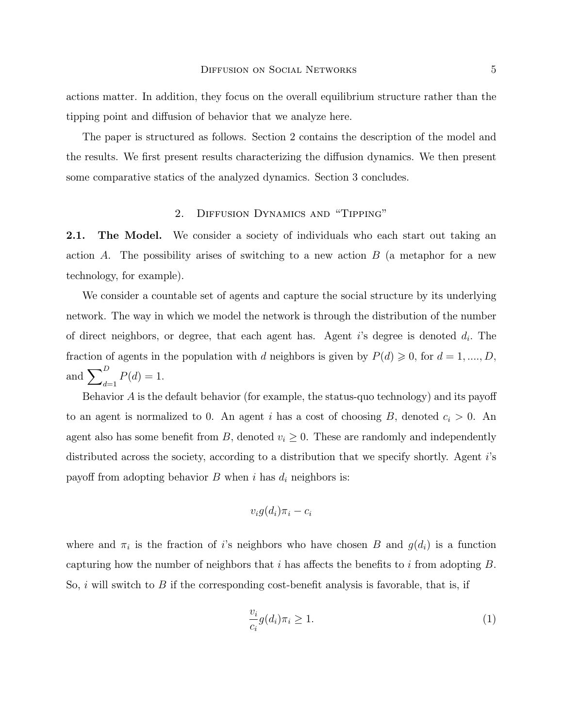actions matter. In addition, they focus on the overall equilibrium structure rather than the tipping point and diffusion of behavior that we analyze here.

The paper is structured as follows. Section 2 contains the description of the model and the results. We first present results characterizing the diffusion dynamics. We then present some comparative statics of the analyzed dynamics. Section 3 concludes.

# 2. DIFFUSION DYNAMICS AND "TIPPING"

2.1. The Model. We consider a society of individuals who each start out taking an action  $A$ . The possibility arises of switching to a new action  $B$  (a metaphor for a new technology, for example).

We consider a countable set of agents and capture the social structure by its underlying network. The way in which we model the network is through the distribution of the number of direct neighbors, or degree, that each agent has. Agent  $i$ 's degree is denoted  $d_i$ . The fraction of agents in the population with d neighbors is given by  $P(d) \geq 0$ , for  $d = 1, ..., D$ , and  $\sum_{d=1}^{D} P(d) = 1.$ 

Behavior  $A$  is the default behavior (for example, the status-quo technology) and its payoff to an agent is normalized to 0. An agent i has a cost of choosing B, denoted  $c_i > 0$ . An agent also has some benefit from B, denoted  $v_i \geq 0$ . These are randomly and independently distributed across the society, according to a distribution that we specify shortly. Agent i's payoff from adopting behavior B when i has  $d_i$  neighbors is:

$$
v_i g(d_i) \pi_i - c_i
$$

where and  $\pi_i$  is the fraction of i's neighbors who have chosen B and  $g(d_i)$  is a function capturing how the number of neighbors that  $i$  has affects the benefits to  $i$  from adopting  $B$ . So,  $i$  will switch to  $B$  if the corresponding cost-benefit analysis is favorable, that is, if

$$
\frac{v_i}{c_i}g(d_i)\pi_i \ge 1.
$$
\n<sup>(1)</sup>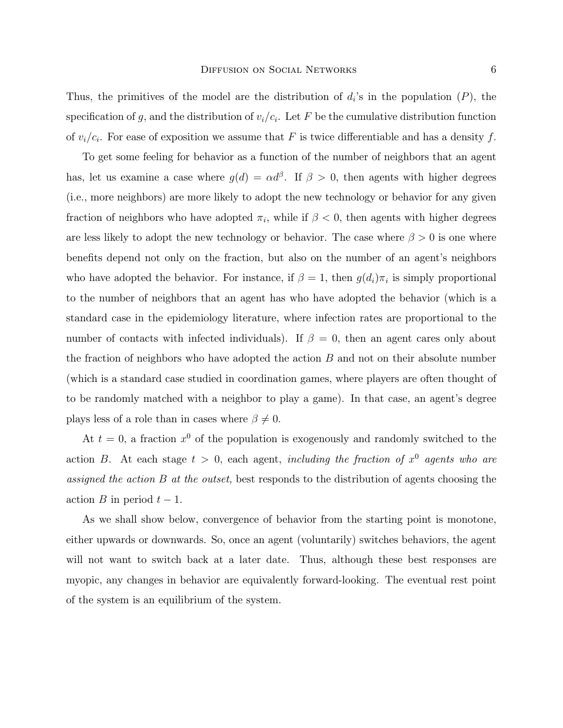Thus, the primitives of the model are the distribution of  $d_i$ 's in the population  $(P)$ , the specification of g, and the distribution of  $v_i/c_i$ . Let F be the cumulative distribution function of  $v_i/c_i$ . For ease of exposition we assume that F is twice differentiable and has a density f.

To get some feeling for behavior as a function of the number of neighbors that an agent has, let us examine a case where  $g(d) = \alpha d^{\beta}$ . If  $\beta > 0$ , then agents with higher degrees (i.e., more neighbors) are more likely to adopt the new technology or behavior for any given fraction of neighbors who have adopted  $\pi_i$ , while if  $\beta < 0$ , then agents with higher degrees are less likely to adopt the new technology or behavior. The case where  $\beta > 0$  is one where benets depend not only on the fraction, but also on the number of an agent's neighbors who have adopted the behavior. For instance, if  $\beta = 1$ , then  $g(d_i)\pi_i$  is simply proportional to the number of neighbors that an agent has who have adopted the behavior (which is a standard case in the epidemiology literature, where infection rates are proportional to the number of contacts with infected individuals). If  $\beta = 0$ , then an agent cares only about the fraction of neighbors who have adopted the action  $B$  and not on their absolute number (which is a standard case studied in coordination games, where players are often thought of to be randomly matched with a neighbor to play a game). In that case, an agent's degree plays less of a role than in cases where  $\beta \neq 0$ .

At  $t = 0$ , a fraction  $x^0$  of the population is exogenously and randomly switched to the action B. At each stage  $t > 0$ , each agent, including the fraction of  $x^0$  agents who are assigned the action B at the outset, best responds to the distribution of agents choosing the action B in period  $t-1$ .

As we shall show below, convergence of behavior from the starting point is monotone, either upwards or downwards. So, once an agent (voluntarily) switches behaviors, the agent will not want to switch back at a later date. Thus, although these best responses are myopic, any changes in behavior are equivalently forward-looking. The eventual rest point of the system is an equilibrium of the system.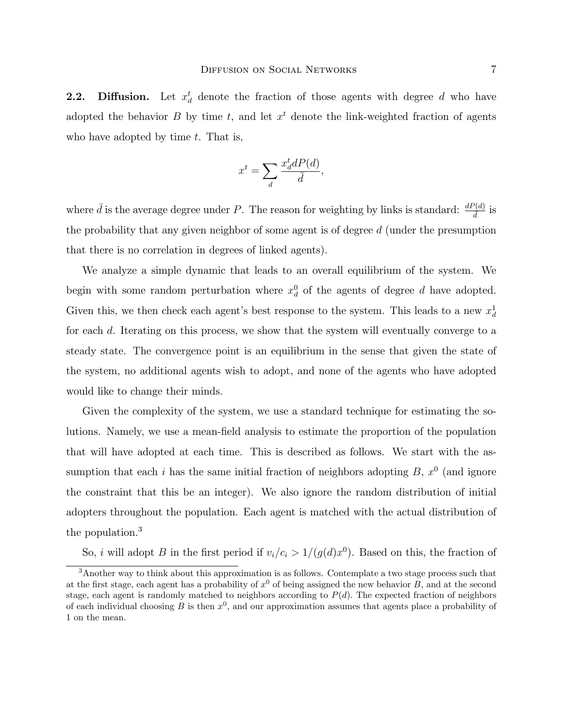**2.2.** Diffusion. Let  $x_d^t$  denote the fraction of those agents with degree d who have adopted the behavior B by time t, and let  $x<sup>t</sup>$  denote the link-weighted fraction of agents who have adopted by time  $t$ . That is,

$$
x^t = \sum_d \frac{x_d^t dP(d)}{\bar{d}},
$$

where  $\bar{d}$  is the average degree under P. The reason for weighting by links is standard:  $\frac{dP(d)}{\bar{d}}$  is the probability that any given neighbor of some agent is of degree d (under the presumption that there is no correlation in degrees of linked agents).

We analyze a simple dynamic that leads to an overall equilibrium of the system. We begin with some random perturbation where  $x_d^0$  of the agents of degree d have adopted. Given this, we then check each agent's best response to the system. This leads to a new  $x_d^1$ for each d. Iterating on this process, we show that the system will eventually converge to a steady state. The convergence point is an equilibrium in the sense that given the state of the system, no additional agents wish to adopt, and none of the agents who have adopted would like to change their minds.

Given the complexity of the system, we use a standard technique for estimating the solutions. Namely, we use a mean-field analysis to estimate the proportion of the population that will have adopted at each time. This is described as follows. We start with the assumption that each i has the same initial fraction of neighbors adopting  $B, x^0$  (and ignore the constraint that this be an integer). We also ignore the random distribution of initial adopters throughout the population. Each agent is matched with the actual distribution of the population.<sup>3</sup>

So, *i* will adopt *B* in the first period if  $v_i/c_i > 1/(g(d)x^0)$ . Based on this, the fraction of

<sup>&</sup>lt;sup>3</sup>Another way to think about this approximation is as follows. Contemplate a two stage process such that at the first stage, each agent has a probability of  $x^0$  of being assigned the new behavior B, and at the second stage, each agent is randomly matched to neighbors according to  $P(d)$ . The expected fraction of neighbors of each individual choosing B is then  $x^0$ , and our approximation assumes that agents place a probability of 1 on the mean.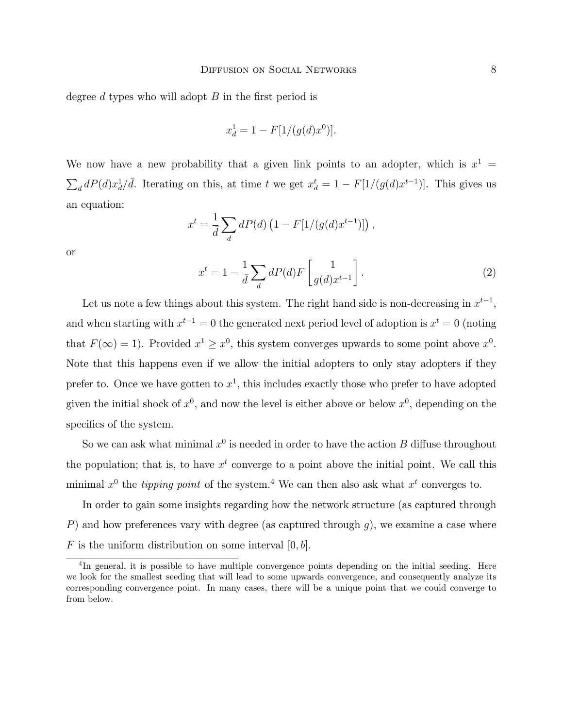degree d types who will adopt  $B$  in the first period is

$$
x_d^1 = 1 - F[1/(g(d)x^0)].
$$

We now have a new probability that a given link points to an adopter, which is  $x^1 =$  $\sum_{d} dP(d)x_d^1/\overline{d}$ . Iterating on this, at time t we get  $x_d^t = 1 - F[1/(g(d)x^{t-1})]$ . This gives us an equation:

$$
x^{t} = \frac{1}{d} \sum_{d} dP(d) (1 - F[1/(g(d)x^{t-1})]),
$$

or

$$
x^{t} = 1 - \frac{1}{d} \sum_{d} dP(d) F\left[\frac{1}{g(d)x^{t-1}}\right].
$$
\n(2)

Let us note a few things about this system. The right hand side is non-decreasing in  $x^{t-1}$ , and when starting with  $x^{t-1} = 0$  the generated next period level of adoption is  $x^t = 0$  (noting that  $F(\infty) = 1$ ). Provided  $x^1 \ge x^0$ , this system converges upwards to some point above  $x^0$ . Note that this happens even if we allow the initial adopters to only stay adopters if they prefer to. Once we have gotten to  $x^1$ , this includes exactly those who prefer to have adopted given the initial shock of  $x^0$ , and now the level is either above or below  $x^0$ , depending on the specifics of the system.

So we can ask what minimal  $x^0$  is needed in order to have the action B diffuse throughout the population; that is, to have  $x<sup>t</sup>$  converge to a point above the initial point. We call this minimal  $x^0$  the tipping point of the system.<sup>4</sup> We can then also ask what  $x^t$  converges to.

In order to gain some insights regarding how the network structure (as captured through P) and how preferences vary with degree (as captured through  $g$ ), we examine a case where F is the uniform distribution on some interval  $[0, b]$ .

<sup>&</sup>lt;sup>4</sup>In general, it is possible to have multiple convergence points depending on the initial seeding. Here we look for the smallest seeding that will lead to some upwards convergence, and consequently analyze its corresponding convergence point. In many cases, there will be a unique point that we could converge to from below.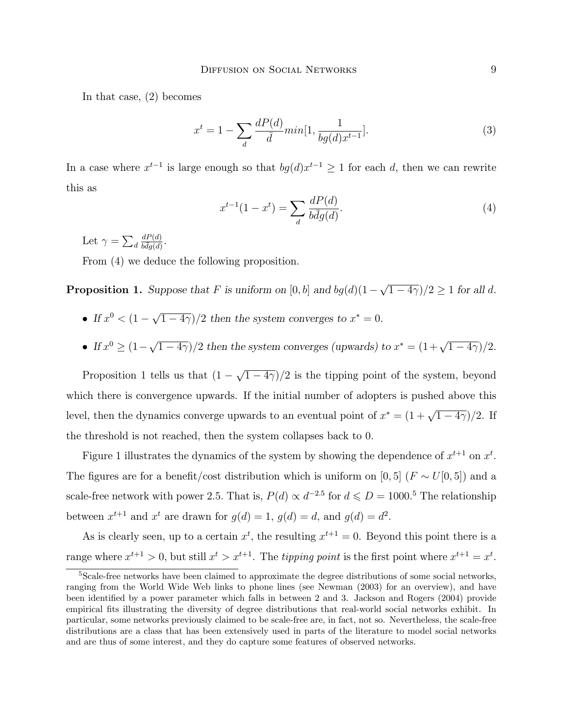In that case, (2) becomes

$$
x^{t} = 1 - \sum_{d} \frac{dP(d)}{d} min[1, \frac{1}{bg(d)x^{t-1}}].
$$
\n(3)

In a case where  $x^{t-1}$  is large enough so that  $bg(d)x^{t-1} \geq 1$  for each d, then we can rewrite this as

$$
x^{t-1}(1 - x^t) = \sum_{d} \frac{dP(d)}{b\bar{d}g(d)}.
$$
 (4)

Let  $\gamma = \sum_d$  $dP(d)$  $\frac{aP(a)}{b\bar{d}g(d)}$ .

From (4) we deduce the following proposition.

**Proposition 1.** Suppose that F is uniform on  $[0, b]$  and  $bg(d)(1 - \sqrt{1 - 4\gamma})/2 \ge 1$  for all d.

- If  $x^0 < (1 \sqrt{1 4\gamma})/2$  then the system converges to  $x^* = 0$ .
- If  $x^0 \ge (1 \sqrt{1 4\gamma})/2$  then the system converges (upwards) to  $x^* = (1 + \sqrt{1 4\gamma})/2$ .

Proposition 1 tells us that  $(1 - \sqrt{1 - 4\gamma})/2$  is the tipping point of the system, beyond which there is convergence upwards. If the initial number of adopters is pushed above this level, then the dynamics converge upwards to an eventual point of  $x^* = (1 + \sqrt{1 - 4\gamma})/2$ . If the threshold is not reached, then the system collapses back to 0.

Figure 1 illustrates the dynamics of the system by showing the dependence of  $x^{t+1}$  on  $x^t$ . The figures are for a benefit/cost distribution which is uniform on [0, 5] ( $F \sim U[0, 5]$ ) and a scale-free network with power 2.5. That is,  $P(d) \propto d^{-2.5}$  for  $d \leq D = 1000$ .<sup>5</sup> The relationship between  $x^{t+1}$  and  $x^t$  are drawn for  $g(d) = 1$ ,  $g(d) = d$ , and  $g(d) = d^2$ .

As is clearly seen, up to a certain  $x^t$ , the resulting  $x^{t+1} = 0$ . Beyond this point there is a range where  $x^{t+1} > 0$ , but still  $x^t > x^{t+1}$ . The *tipping point* is the first point where  $x^{t+1} = x^t$ .

<sup>5</sup>Scale-free networks have been claimed to approximate the degree distributions of some social networks, ranging from the World Wide Web links to phone lines (see Newman (2003) for an overview), and have been identied by a power parameter which falls in between 2 and 3. Jackson and Rogers (2004) provide empirical fits illustrating the diversity of degree distributions that real-world social networks exhibit. In particular, some networks previously claimed to be scale-free are, in fact, not so. Nevertheless, the scale-free distributions are a class that has been extensively used in parts of the literature to model social networks and are thus of some interest, and they do capture some features of observed networks.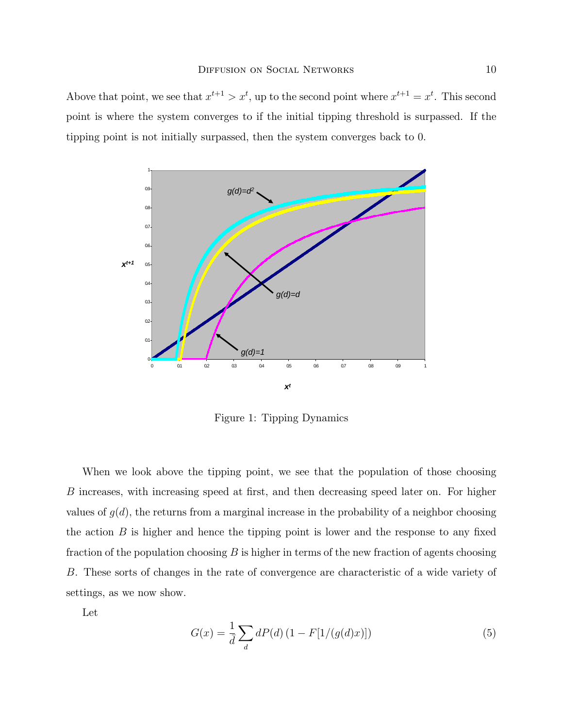Above that point, we see that  $x^{t+1} > x^t$ , up to the second point where  $x^{t+1} = x^t$ . This second point is where the system converges to if the initial tipping threshold is surpassed. If the tipping point is not initially surpassed, then the system converges back to 0.



Figure 1: Tipping Dynamics

When we look above the tipping point, we see that the population of those choosing B increases, with increasing speed at first, and then decreasing speed later on. For higher values of  $g(d)$ , the returns from a marginal increase in the probability of a neighbor choosing the action  $B$  is higher and hence the tipping point is lower and the response to any fixed fraction of the population choosing  $B$  is higher in terms of the new fraction of agents choosing B. These sorts of changes in the rate of convergence are characteristic of a wide variety of settings, as we now show.

Let

$$
G(x) = \frac{1}{d} \sum_{d} dP(d) (1 - F[1/(g(d)x)])
$$
\n(5)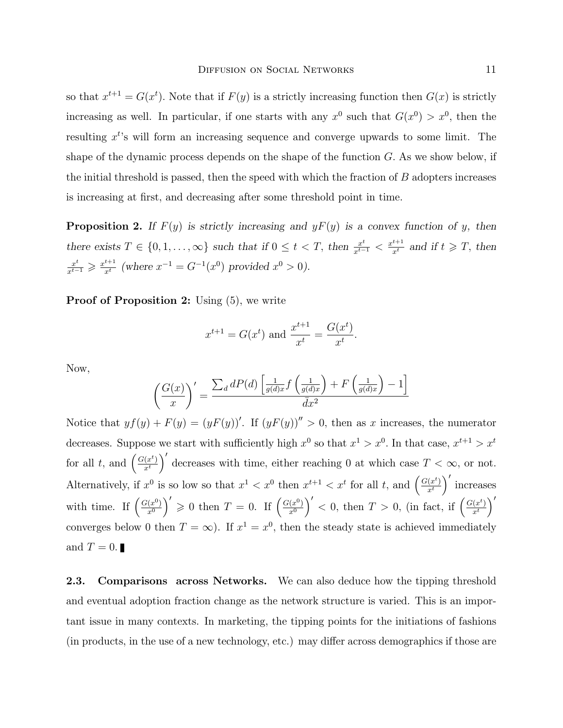so that  $x^{t+1} = G(x^t)$ . Note that if  $F(y)$  is a strictly increasing function then  $G(x)$  is strictly increasing as well. In particular, if one starts with any  $x^0$  such that  $G(x^0) > x^0$ , then the resulting  $x^{t}$ 's will form an increasing sequence and converge upwards to some limit. The shape of the dynamic process depends on the shape of the function  $G$ . As we show below, if the initial threshold is passed, then the speed with which the fraction of  $B$  adopters increases is increasing at first, and decreasing after some threshold point in time.

**Proposition 2.** If  $F(y)$  is strictly increasing and  $yF(y)$  is a convex function of y, then there exists  $T \in \{0, 1, \ldots, \infty\}$  such that if  $0 \le t < T$ , then  $\frac{x^t}{x^{t-1}} < \frac{x^{t+1}}{x^t}$  and if  $t \ge T$ , then  $\frac{x^t}{x^{t-1}} \geqslant \frac{x^{t+1}}{x^t}$  (where  $x^{-1} = G^{-1}(x^0)$  provided  $x^0 > 0$ ).

**Proof of Proposition 2:** Using  $(5)$ , we write

$$
x^{t+1} = G(x^t)
$$
 and  $\frac{x^{t+1}}{x^t} = \frac{G(x^t)}{x^t}$ .

Now,

$$
\left(\frac{G(x)}{x}\right)' = \frac{\sum_d dP(d) \left[ \frac{1}{g(d)x} f\left(\frac{1}{g(d)x}\right) + F\left(\frac{1}{g(d)x}\right) - 1 \right]}{\bar{d}x^2}
$$

Notice that  $y f(y) + F(y) = (y F(y))'$ . If  $(y F(y))'' > 0$ , then as x increases, the numerator decreases. Suppose we start with sufficiently high  $x^0$  so that  $x^1 > x^0$ . In that case,  $x^{t+1} > x^t$ for all t, and  $\left(\frac{G(x^t)}{x^t}\right)$  $x^t$ )' decreases with time, either reaching 0 at which case  $T < \infty$ , or not. Alternatively, if  $x^0$  is so low so that  $x^1 < x^0$  then  $x^{t+1} < x^t$  for all t, and  $\left(\frac{G(x^t)}{x^t}\right)$  $\overline{x^t}$ 0 increases with time. If  $\left(\frac{G(x^0)}{x^0}\right)$  $\overline{x^0}$  $\left(\begin{array}{c} 0 \end{array}\right)' \geqslant 0$  then  $T=0$ . If  $\left(\frac{G(x^0)}{x^0}\right)'$  $\overline{x^0}$  $\int'$  < 0, then  $T > 0$ , (in fact, if  $\left(\frac{G(x^t)}{x^t}\right)$  $\overline{x^t}$  $\setminus'$ converges below 0 then  $T = \infty$ ). If  $x^1 = x^0$ , then the steady state is achieved immediately and  $T = 0$ .

2.3. Comparisons across Networks. We can also deduce how the tipping threshold and eventual adoption fraction change as the network structure is varied. This is an important issue in many contexts. In marketing, the tipping points for the initiations of fashions (in products, in the use of a new technology, etc.) may differ across demographics if those are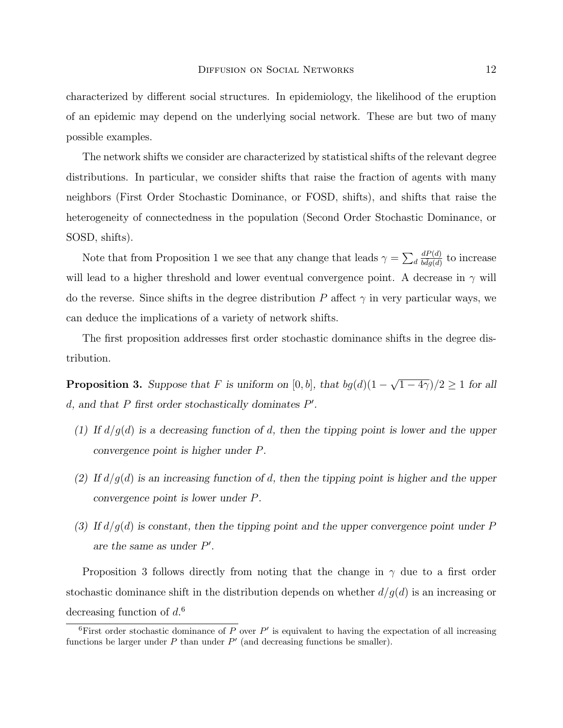characterized by different social structures. In epidemiology, the likelihood of the eruption of an epidemic may depend on the underlying social network. These are but two of many possible examples.

The network shifts we consider are characterized by statistical shifts of the relevant degree distributions. In particular, we consider shifts that raise the fraction of agents with many neighbors (First Order Stochastic Dominance, or FOSD, shifts), and shifts that raise the heterogeneity of connectedness in the population (Second Order Stochastic Dominance, or SOSD, shifts).

Note that from Proposition 1 we see that any change that leads  $\gamma = \sum_d$  $dP(d)$  $\frac{dP(d)}{b\bar{d}g(d)}$  to increase will lead to a higher threshold and lower eventual convergence point. A decrease in  $\gamma$  will do the reverse. Since shifts in the degree distribution P affect  $\gamma$  in very particular ways, we can deduce the implications of a variety of network shifts.

The first proposition addresses first order stochastic dominance shifts in the degree distribution.

**Proposition 3.** Suppose that F is uniform on  $[0, b]$ , that  $bg(d)(1 - \sqrt{1 - 4\gamma})/2 \ge 1$  for all  $d$ , and that P first order stochastically dominates  $P'$ .

- (1) If  $d/g(d)$  is a decreasing function of d, then the tipping point is lower and the upper convergence point is higher under P.
- (2) If  $d/g(d)$  is an increasing function of d, then the tipping point is higher and the upper convergence point is lower under P.
- (3) If  $d/g(d)$  is constant, then the tipping point and the upper convergence point under P are the same as under  $P'$ .

Proposition 3 follows directly from noting that the change in  $\gamma$  due to a first order stochastic dominance shift in the distribution depends on whether  $d/g(d)$  is an increasing or decreasing function of  $d<sup>6</sup>$ 

<sup>&</sup>lt;sup>6</sup>First order stochastic dominance of P over  $P'$  is equivalent to having the expectation of all increasing functions be larger under  $P$  than under  $P'$  (and decreasing functions be smaller).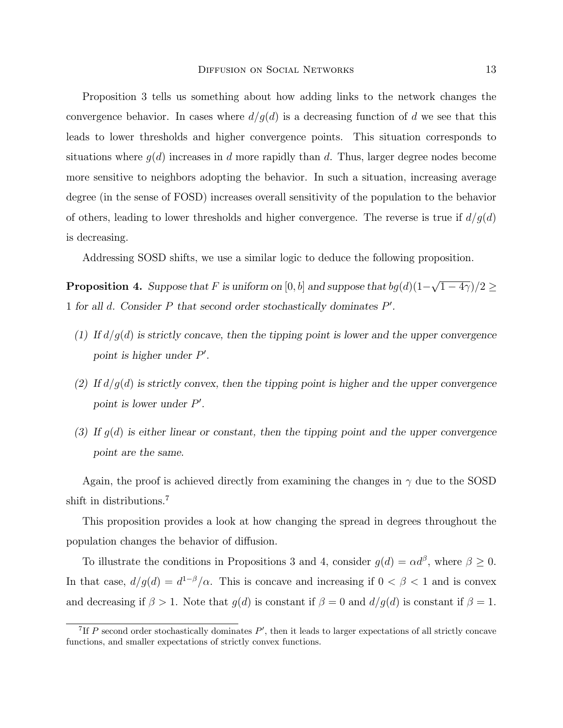Proposition 3 tells us something about how adding links to the network changes the convergence behavior. In cases where  $d/q(d)$  is a decreasing function of d we see that this leads to lower thresholds and higher convergence points. This situation corresponds to situations where  $q(d)$  increases in d more rapidly than d. Thus, larger degree nodes become more sensitive to neighbors adopting the behavior. In such a situation, increasing average degree (in the sense of FOSD) increases overall sensitivity of the population to the behavior of others, leading to lower thresholds and higher convergence. The reverse is true if  $d/q(d)$ is decreasing.

Addressing SOSD shifts, we use a similar logic to deduce the following proposition.

**Proposition 4.** Suppose that F is uniform on  $[0, b]$  and suppose that  $bg(d)(1-\sqrt{1-4\gamma})/2 \ge$ 1 for all  $d$ . Consider  $P$  that second order stochastically dominates  $P'$ .

- (1) If  $d/g(d)$  is strictly concave, then the tipping point is lower and the upper convergence point is higher under  $P'$ .
- (2) If  $d/g(d)$  is strictly convex, then the tipping point is higher and the upper convergence point is lower under  $P'$ .
- (3) If  $g(d)$  is either linear or constant, then the tipping point and the upper convergence point are the same.

Again, the proof is achieved directly from examining the changes in  $\gamma$  due to the SOSD shift in distributions.<sup>7</sup>

This proposition provides a look at how changing the spread in degrees throughout the population changes the behavior of diffusion.

To illustrate the conditions in Propositions 3 and 4, consider  $g(d) = \alpha d^{\beta}$ , where  $\beta \geq 0$ . In that case,  $d/g(d) = d^{1-\beta}/\alpha$ . This is concave and increasing if  $0 < \beta < 1$  and is convex and decreasing if  $\beta > 1$ . Note that  $g(d)$  is constant if  $\beta = 0$  and  $d/g(d)$  is constant if  $\beta = 1$ .

<sup>&</sup>lt;sup>7</sup>If P second order stochastically dominates  $P'$ , then it leads to larger expectations of all strictly concave functions, and smaller expectations of strictly convex functions.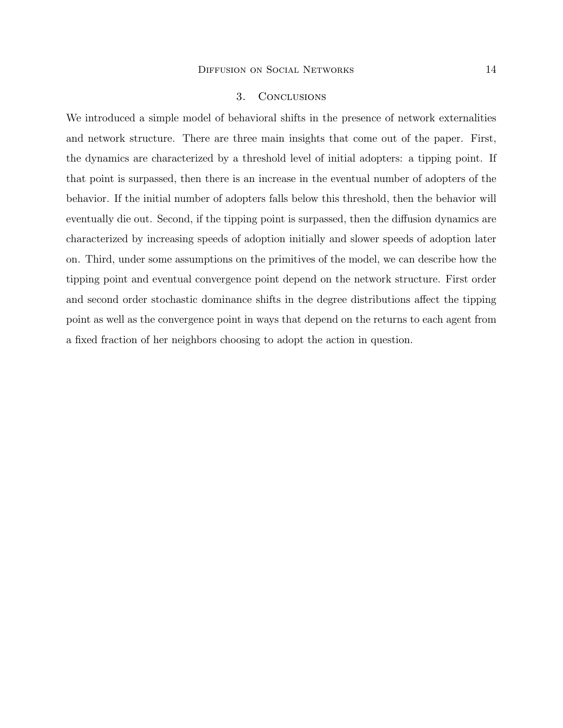### 3. Conclusions

We introduced a simple model of behavioral shifts in the presence of network externalities and network structure. There are three main insights that come out of the paper. First, the dynamics are characterized by a threshold level of initial adopters: a tipping point. If that point is surpassed, then there is an increase in the eventual number of adopters of the behavior. If the initial number of adopters falls below this threshold, then the behavior will eventually die out. Second, if the tipping point is surpassed, then the diffusion dynamics are characterized by increasing speeds of adoption initially and slower speeds of adoption later on. Third, under some assumptions on the primitives of the model, we can describe how the tipping point and eventual convergence point depend on the network structure. First order and second order stochastic dominance shifts in the degree distributions affect the tipping point as well as the convergence point in ways that depend on the returns to each agent from a fixed fraction of her neighbors choosing to adopt the action in question.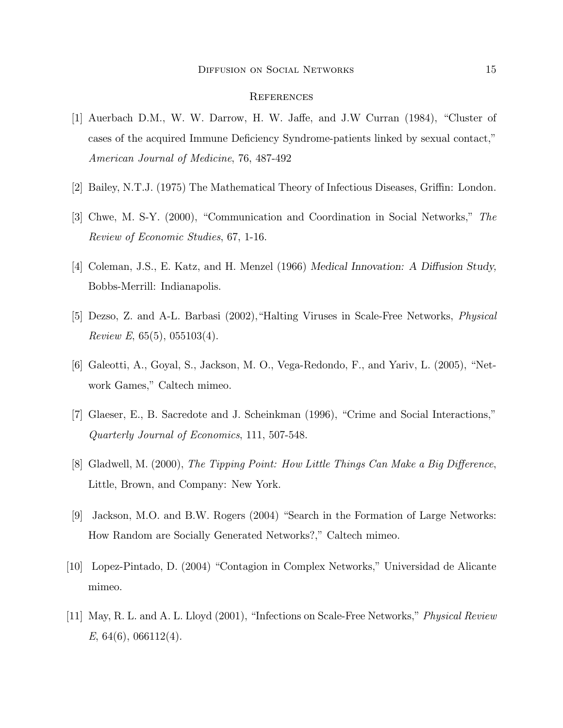#### **REFERENCES**

- [1] Auerbach D.M., W. W. Darrow, H. W. Jaffe, and J.W Curran  $(1984)$ , "Cluster of cases of the acquired Immune Deficiency Syndrome-patients linked by sexual contact," American Journal of Medicine, 76, 487-492
- [2] Bailey, N.T.J. (1975) The Mathematical Theory of Infectious Diseases, Griffin: London.
- [3] Chwe, M. S-Y. (2000), "Communication and Coordination in Social Networks," The Review of Economic Studies, 67, 1-16.
- [4] Coleman, J.S., E. Katz, and H. Menzel  $(1966)$  Medical Innovation: A Diffusion Study, Bobbs-Merrill: Indianapolis.
- [5] Dezso, Z. and A-L. Barbasi (2002), "Halting Viruses in Scale-Free Networks, *Physical* Review E,  $65(5)$ ,  $055103(4)$ .
- [6] Galeotti, A., Goyal, S., Jackson, M. O., Vega-Redondo, F., and Yariv, L. (2005), "Network Games," Caltech mimeo.
- [7] Glaeser, E., B. Sacredote and J. Scheinkman (1996), "Crime and Social Interactions," Quarterly Journal of Economics, 111, 507-548.
- [8] Gladwell, M. (2000), The Tipping Point: How Little Things Can Make a Big Difference, Little, Brown, and Company: New York.
- [9] Jackson, M.O. and B.W. Rogers (2004) "Search in the Formation of Large Networks: How Random are Socially Generated Networks?," Caltech mimeo.
- [10] Lopez-Pintado, D. (2004) \Contagion in Complex Networks," Universidad de Alicante mimeo.
- [11] May, R. L. and A. L. Lloyd (2001), "Infections on Scale-Free Networks," *Physical Review* E, 64(6), 066112(4).